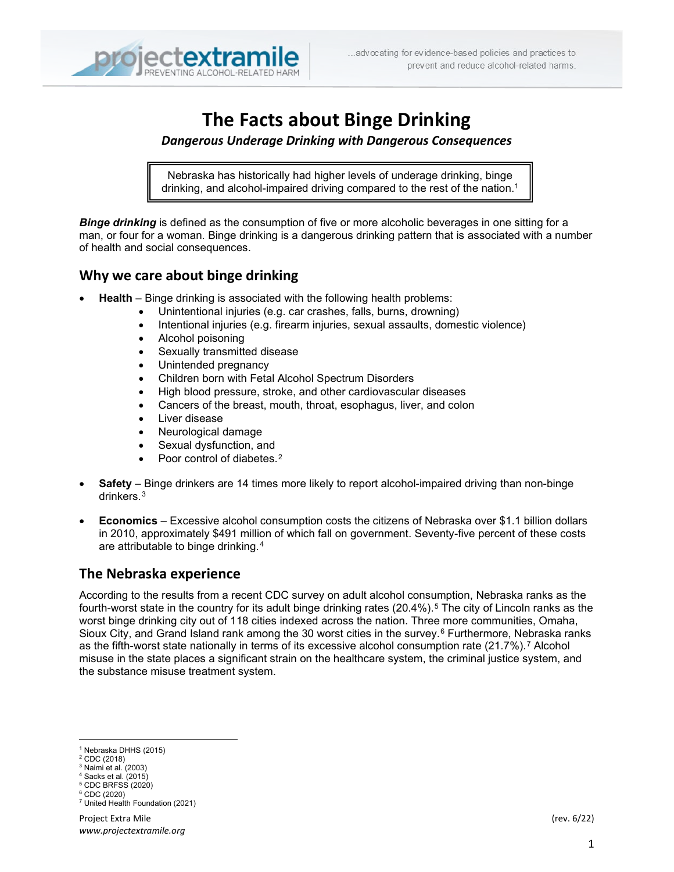

# **The Facts about Binge Drinking**

#### *Dangerous Underage Drinking with Dangerous Consequences*

Nebraska has historically had higher levels of underage drinking, binge drinking, and alcohol-impaired driving compared to the rest of the nation.<sup>[1](#page-0-0)</sup>

*Binge drinking* is defined as the consumption of five or more alcoholic beverages in one sitting for a man, or four for a woman. Binge drinking is a dangerous drinking pattern that is associated with a number of health and social consequences.

### **Why we care about binge drinking**

ī

- **Health** Binge drinking is associated with the following health problems:
	- Unintentional injuries (e.g. car crashes, falls, burns, drowning)
	- Intentional injuries (e.g. firearm injuries, sexual assaults, domestic violence)
	- Alcohol poisoning
	- Sexually transmitted disease
	- Unintended pregnancy
	- Children born with Fetal Alcohol Spectrum Disorders
	- High blood pressure, stroke, and other cardiovascular diseases
	- Cancers of the breast, mouth, throat, esophagus, liver, and colon
	- Liver disease
	- Neurological damage
	- Sexual dysfunction, and
	- Poor control of diabetes.<sup>[2](#page-0-1)</sup>
- **Safety** Binge drinkers are 14 times more likely to report alcohol-impaired driving than non-binge drinkers.[3](#page-0-2)
- **Economics** Excessive alcohol consumption costs the citizens of Nebraska over \$1.1 billion dollars in 2010, approximately \$491 million of which fall on government. Seventy-five percent of these costs are attributable to binge drinking.[4](#page-0-3)

## **The Nebraska experience**

According to the results from a recent CDC survey on adult alcohol consumption, Nebraska ranks as the fourth-worst state in the country for its adult binge drinking rates  $(20.4\%)$ .<sup>[5](#page-0-4)</sup> The city of Lincoln ranks as the worst binge drinking city out of 118 cities indexed across the nation. Three more communities, Omaha, Sioux City, and Grand Island rank among the 30 worst cities in the survey.<sup>[6](#page-0-5)</sup> Furthermore, Nebraska ranks as the fifth-worst state nationally in terms of its excessive alcohol consumption rate (21.[7](#page-0-6)%).<sup>7</sup> Alcohol misuse in the state places a significant strain on the healthcare system, the criminal justice system, and the substance misuse treatment system.

- $3$  Naimi et al. (2003)
- <span id="page-0-3"></span> $4$  Sacks et al. (2015) <sup>5</sup> CDC BRFSS (2020)

<sup>1</sup> Nebraska DHHS (2015)

<span id="page-0-2"></span><span id="page-0-1"></span><span id="page-0-0"></span><sup>2</sup> CDC (2018)

<span id="page-0-5"></span><span id="page-0-4"></span><sup>6</sup> CDC (2020)

<span id="page-0-6"></span><sup>7</sup> United Health Foundation (2021)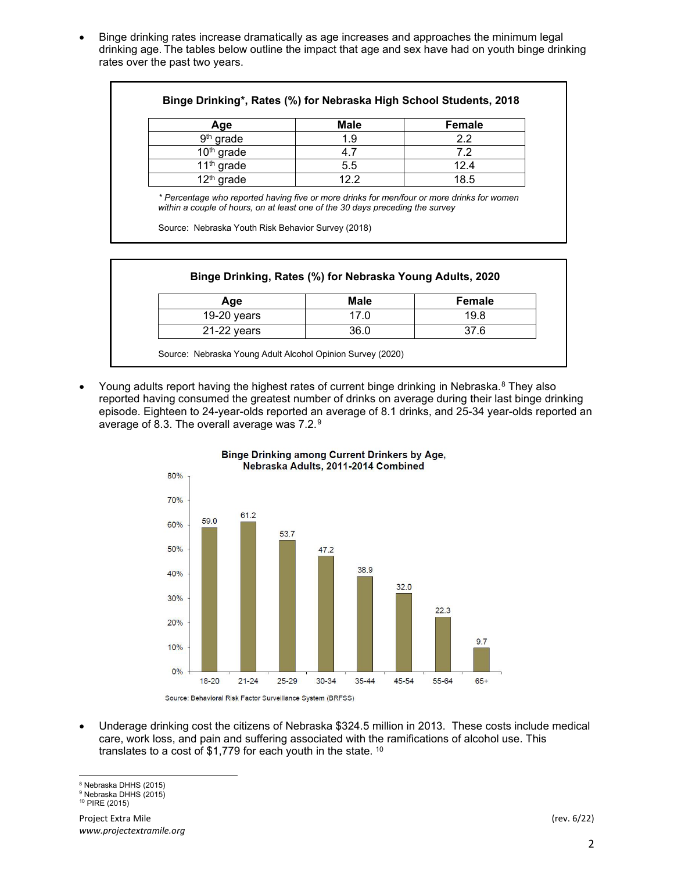• Binge drinking rates increase dramatically as age increases and approaches the minimum legal drinking age. The tables below outline the impact that age and sex have had on youth binge drinking rates over the past two years.

| Age          | <b>Male</b> | <b>Female</b> |
|--------------|-------------|---------------|
| $9th$ grade  | 1.9         | 2.2           |
| $10th$ grade |             | 7.2           |
| $11th$ grade | 5.5         | 12.4          |
| $12th$ grade | 12.2        | 18.5          |

*\* Percentage who reported having five or more drinks for men/four or more drinks for women within a couple of hours, on at least one of the 30 days preceding the survey*

Source: Nebraska Youth Risk Behavior Survey (2018)

| Age           | Male | Female |
|---------------|------|--------|
| $19-20$ years | 17.0 | 19.8   |
| 21-22 years   | 36.0 | 37.6   |

Young adults report having the highest rates of current binge drinking in Nebraska.<sup>[8](#page-1-0)</sup> They also reported having consumed the greatest number of drinks on average during their last binge drinking episode. Eighteen to 24-year-olds reported an average of 8.1 drinks, and 25-34 year-olds reported an average of 8.3. The overall average was 7.2.[9](#page-1-1)



Binge Drinking among Current Drinkers by Age, Nebraska Adults, 2011-2014 Combined

• Underage drinking cost the citizens of Nebraska \$324.5 million in 2013. These costs include medical care, work loss, and pain and suffering associated with the ramifications of alcohol use. This translates to a cost of \$1,779 for each youth in the state. [10](#page-1-2)

<sup>8</sup> Nebraska DHHS (2015)

<span id="page-1-2"></span><span id="page-1-1"></span><span id="page-1-0"></span><sup>9</sup> Nebraska DHHS (2015)

<sup>10</sup> PIRE (2015)